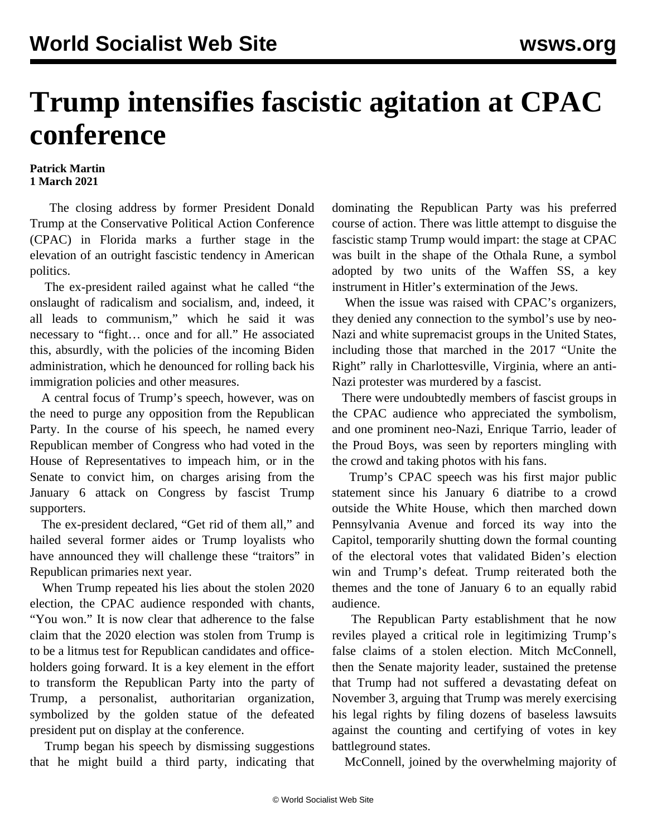## **Trump intensifies fascistic agitation at CPAC conference**

## **Patrick Martin 1 March 2021**

 The closing address by former President Donald Trump at the Conservative Political Action Conference (CPAC) in Florida marks a further stage in the elevation of an outright fascistic tendency in American politics.

 The ex-president railed against what he called "the onslaught of radicalism and socialism, and, indeed, it all leads to communism," which he said it was necessary to "fight… once and for all." He associated this, absurdly, with the policies of the incoming Biden administration, which he denounced for rolling back his immigration policies and other measures.

 A central focus of Trump's speech, however, was on the need to purge any opposition from the Republican Party. In the course of his speech, he named every Republican member of Congress who had voted in the House of Representatives to impeach him, or in the Senate to convict him, on charges arising from the January 6 attack on Congress by fascist Trump supporters.

 The ex-president declared, "Get rid of them all," and hailed several former aides or Trump loyalists who have announced they will challenge these "traitors" in Republican primaries next year.

 When Trump repeated his lies about the stolen 2020 election, the CPAC audience responded with chants, "You won." It is now clear that adherence to the false claim that the 2020 election was stolen from Trump is to be a litmus test for Republican candidates and officeholders going forward. It is a key element in the effort to transform the Republican Party into the party of Trump, a personalist, authoritarian organization, symbolized by the golden statue of the defeated president put on display at the conference.

 Trump began his speech by dismissing suggestions that he might build a third party, indicating that dominating the Republican Party was his preferred course of action. There was little attempt to disguise the fascistic stamp Trump would impart: the stage at CPAC was built in the shape of the Othala Rune, a symbol adopted by two units of the Waffen SS, a key instrument in Hitler's extermination of the Jews.

 When the issue was raised with CPAC's organizers, they denied any connection to the symbol's use by neo-Nazi and white supremacist groups in the United States, including those that marched in the 2017 "Unite the Right" rally in Charlottesville, Virginia, where an anti-Nazi protester was murdered by a fascist.

 There were undoubtedly members of fascist groups in the CPAC audience who appreciated the symbolism, and one prominent neo-Nazi, Enrique Tarrio, leader of the Proud Boys, was seen by reporters mingling with the crowd and taking photos with his fans.

 Trump's CPAC speech was his first major public statement since his January 6 diatribe to a crowd outside the White House, which then marched down Pennsylvania Avenue and forced its way into the Capitol, temporarily shutting down the formal counting of the electoral votes that validated Biden's election win and Trump's defeat. Trump reiterated both the themes and the tone of January 6 to an equally rabid audience.

 The Republican Party establishment that he now reviles played a critical role in legitimizing Trump's false claims of a stolen election. Mitch McConnell, then the Senate majority leader, sustained the pretense that Trump had not suffered a devastating defeat on November 3, arguing that Trump was merely exercising his legal rights by filing dozens of baseless lawsuits against the counting and certifying of votes in key battleground states.

McConnell, joined by the overwhelming majority of